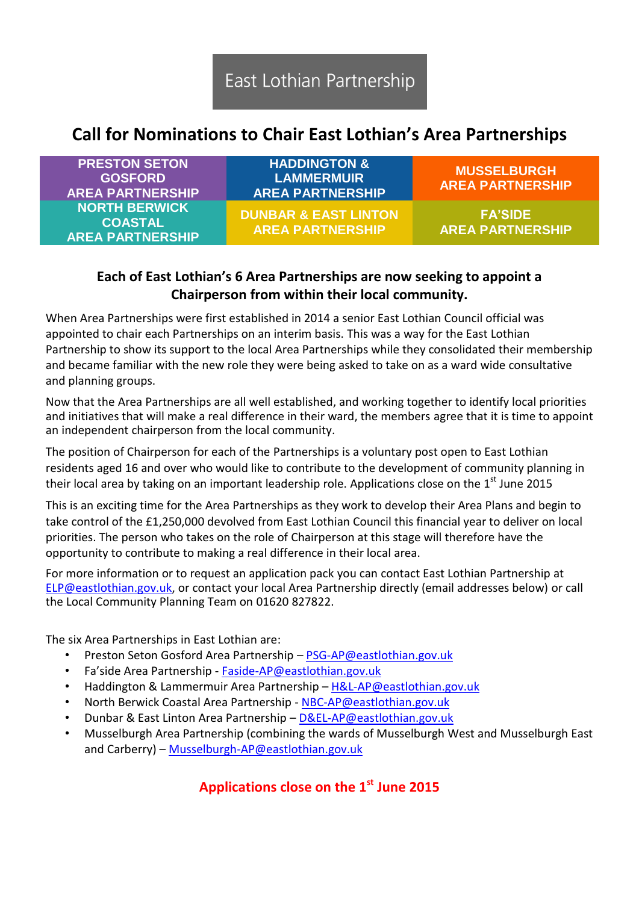## **Call for Nominations to Chair East Lothian's Area Partnerships**

| <b>PRESTON SETON</b><br><b>GOSFORD</b><br><b>AREA PARTNERSHIP</b> | <b>HADDINGTON &amp;</b><br><b>LAMMERMUIR</b><br><b>AREA PARTNERSHIP</b> | <b>MUSSELBURGH</b><br><b>AREA PARTNERSHIP</b> |
|-------------------------------------------------------------------|-------------------------------------------------------------------------|-----------------------------------------------|
| <b>NORTH BERWICK</b><br><b>COASTAL</b><br><b>AREA PARTNERSHIP</b> | <b>DUNBAR &amp; EAST LINTON</b><br><b>AREA PARTNERSHIP</b>              | <b>FA'SIDE</b><br><b>AREA PARTNERSHIP</b>     |

## **Each of East Lothian's 6 Area Partnerships are now seeking to appoint a Chairperson from within their local community.**

When Area Partnerships were first established in 2014 a senior East Lothian Council official was appointed to chair each Partnerships on an interim basis. This was a way for the East Lothian Partnership to show its support to the local Area Partnerships while they consolidated their membership and became familiar with the new role they were being asked to take on as a ward wide consultative and planning groups.

Now that the Area Partnerships are all well established, and working together to identify local priorities and initiatives that will make a real difference in their ward, the members agree that it is time to appoint an independent chairperson from the local community.

The position of Chairperson for each of the Partnerships is a voluntary post open to East Lothian residents aged 16 and over who would like to contribute to the development of community planning in their local area by taking on an important leadership role. Applications close on the  $1<sup>st</sup>$  June 2015

This is an exciting time for the Area Partnerships as they work to develop their Area Plans and begin to take control of the £1,250,000 devolved from East Lothian Council this financial year to deliver on local priorities. The person who takes on the role of Chairperson at this stage will therefore have the opportunity to contribute to making a real difference in their local area.

For more information or to request an application pack you can contact East Lothian Partnership at [ELP@eastlothian.gov.uk,](mailto:ELP@eastlothian.gov.uk) or contact your local Area Partnership directly (email addresses below) or call the Local Community Planning Team on 01620 827822.

The six Area Partnerships in East Lothian are:

- Preston Seton Gosford Area Partnership [PSG-AP@eastlothian.gov.uk](mailto:PSG-AP@eastlothian.gov.uk)
- Fa'side Area Partnership [Faside-AP@eastlothian.gov.uk](mailto:Faside-AP@eastlothian.gov.uk)
- Haddington & Lammermuir Area Partnership [H&L-AP@eastlothian.gov.uk](mailto:H&L-AP@eastlothian.gov.uk)
- North Berwick Coastal Area Partnership [NBC-AP@eastlothian.gov.uk](mailto:NBC-AP@eastlothian.gov.uk)
- Dunbar & East Linton Area Partnership [D&EL-AP@eastlothian.gov.uk](mailto:D&EL-AP@eastlothian.gov.uk)
- Musselburgh Area Partnership (combining the wards of Musselburgh West and Musselburgh East and Carberry) – [Musselburgh-AP@eastlothian.gov.uk](mailto:Musselburgh-AP@eastlothian.gov.uk)

## **Applications close on the 1st June 2015**